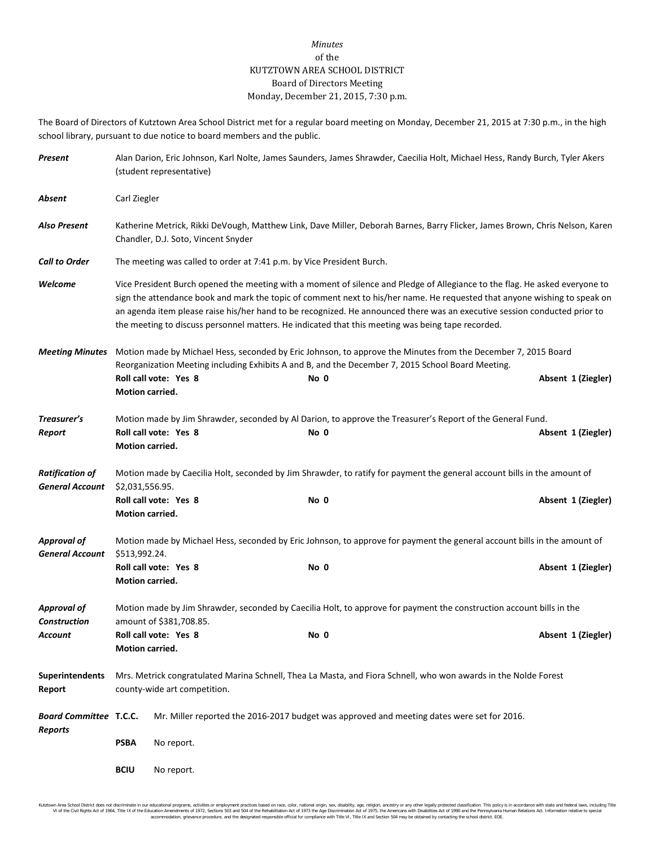## *Minutes* of the KUTZTOWN AREA SCHOOL DISTRICT Board of Directors Meeting Monday, December 21, 2015, 7:30 p.m.

The Board of Directors of Kutztown Area School District met for a regular board meeting on Monday, December 21, 2015 at 7:30 p.m., in the high school library, pursuant to due notice to board members and the public.

| Present                                          | Alan Darion, Eric Johnson, Karl Nolte, James Saunders, James Shrawder, Caecilia Holt, Michael Hess, Randy Burch, Tyler Akers<br>(student representative)                                                           |                                                                                                                                                                                                                                                                                                                                                                                                                                                                                            |  |      |  |  |                    |
|--------------------------------------------------|--------------------------------------------------------------------------------------------------------------------------------------------------------------------------------------------------------------------|--------------------------------------------------------------------------------------------------------------------------------------------------------------------------------------------------------------------------------------------------------------------------------------------------------------------------------------------------------------------------------------------------------------------------------------------------------------------------------------------|--|------|--|--|--------------------|
| Absent                                           | Carl Ziegler                                                                                                                                                                                                       |                                                                                                                                                                                                                                                                                                                                                                                                                                                                                            |  |      |  |  |                    |
| <b>Also Present</b>                              |                                                                                                                                                                                                                    | Katherine Metrick, Rikki DeVough, Matthew Link, Dave Miller, Deborah Barnes, Barry Flicker, James Brown, Chris Nelson, Karen<br>Chandler, D.J. Soto, Vincent Snyder                                                                                                                                                                                                                                                                                                                        |  |      |  |  |                    |
| <b>Call to Order</b>                             |                                                                                                                                                                                                                    | The meeting was called to order at 7:41 p.m. by Vice President Burch.                                                                                                                                                                                                                                                                                                                                                                                                                      |  |      |  |  |                    |
| Welcome                                          |                                                                                                                                                                                                                    | Vice President Burch opened the meeting with a moment of silence and Pledge of Allegiance to the flag. He asked everyone to<br>sign the attendance book and mark the topic of comment next to his/her name. He requested that anyone wishing to speak on<br>an agenda item please raise his/her hand to be recognized. He announced there was an executive session conducted prior to<br>the meeting to discuss personnel matters. He indicated that this meeting was being tape recorded. |  |      |  |  |                    |
| <b>Meeting Minutes</b>                           | Motion made by Michael Hess, seconded by Eric Johnson, to approve the Minutes from the December 7, 2015 Board<br>Reorganization Meeting including Exhibits A and B, and the December 7, 2015 School Board Meeting. |                                                                                                                                                                                                                                                                                                                                                                                                                                                                                            |  |      |  |  |                    |
|                                                  | Motion carried.                                                                                                                                                                                                    | Roll call vote: Yes 8                                                                                                                                                                                                                                                                                                                                                                                                                                                                      |  | No 0 |  |  | Absent 1 (Ziegler) |
| Treasurer's                                      |                                                                                                                                                                                                                    | Motion made by Jim Shrawder, seconded by Al Darion, to approve the Treasurer's Report of the General Fund.                                                                                                                                                                                                                                                                                                                                                                                 |  |      |  |  |                    |
| Report                                           | Motion carried.                                                                                                                                                                                                    | Roll call vote: Yes 8                                                                                                                                                                                                                                                                                                                                                                                                                                                                      |  | No 0 |  |  | Absent 1 (Ziegler) |
| <b>Ratification of</b><br><b>General Account</b> | Motion made by Caecilia Holt, seconded by Jim Shrawder, to ratify for payment the general account bills in the amount of<br>\$2,031,556.95.                                                                        |                                                                                                                                                                                                                                                                                                                                                                                                                                                                                            |  |      |  |  |                    |
|                                                  | Motion carried.                                                                                                                                                                                                    | Roll call vote: Yes 8                                                                                                                                                                                                                                                                                                                                                                                                                                                                      |  | No 0 |  |  | Absent 1 (Ziegler) |
| <b>Approval of</b><br><b>General Account</b>     | Motion made by Michael Hess, seconded by Eric Johnson, to approve for payment the general account bills in the amount of<br>\$513,992.24.                                                                          |                                                                                                                                                                                                                                                                                                                                                                                                                                                                                            |  |      |  |  |                    |
|                                                  | Motion carried.                                                                                                                                                                                                    | Roll call vote: Yes 8                                                                                                                                                                                                                                                                                                                                                                                                                                                                      |  | No 0 |  |  | Absent 1 (Ziegler) |
| <b>Approval of</b><br><b>Construction</b>        | Motion made by Jim Shrawder, seconded by Caecilia Holt, to approve for payment the construction account bills in the<br>amount of \$381,708.85.                                                                    |                                                                                                                                                                                                                                                                                                                                                                                                                                                                                            |  |      |  |  |                    |
| Account                                          | Roll call vote: Yes 8<br>Motion carried.                                                                                                                                                                           |                                                                                                                                                                                                                                                                                                                                                                                                                                                                                            |  | No 0 |  |  | Absent 1 (Ziegler) |
| <b>Superintendents</b><br>Report                 | Mrs. Metrick congratulated Marina Schnell, Thea La Masta, and Fiora Schnell, who won awards in the Nolde Forest<br>county-wide art competition.                                                                    |                                                                                                                                                                                                                                                                                                                                                                                                                                                                                            |  |      |  |  |                    |
| <b>Board Committee T.C.C.</b><br>Reports         |                                                                                                                                                                                                                    | Mr. Miller reported the 2016-2017 budget was approved and meeting dates were set for 2016.                                                                                                                                                                                                                                                                                                                                                                                                 |  |      |  |  |                    |
|                                                  | <b>PSBA</b>                                                                                                                                                                                                        | No report.                                                                                                                                                                                                                                                                                                                                                                                                                                                                                 |  |      |  |  |                    |
|                                                  | <b>BCIU</b>                                                                                                                                                                                                        | No report.                                                                                                                                                                                                                                                                                                                                                                                                                                                                                 |  |      |  |  |                    |

Kutzlown Area School District does not discriminate in our oducational programs, activities or employment practices based on ractional origin and the in the state of the paint of the ending and the second state of the Scho accommodation, grievance procedure, and the designated responsible official for compliance with Title VI, Title IX and Section 504 may be obtained by contacting the school district. EOE.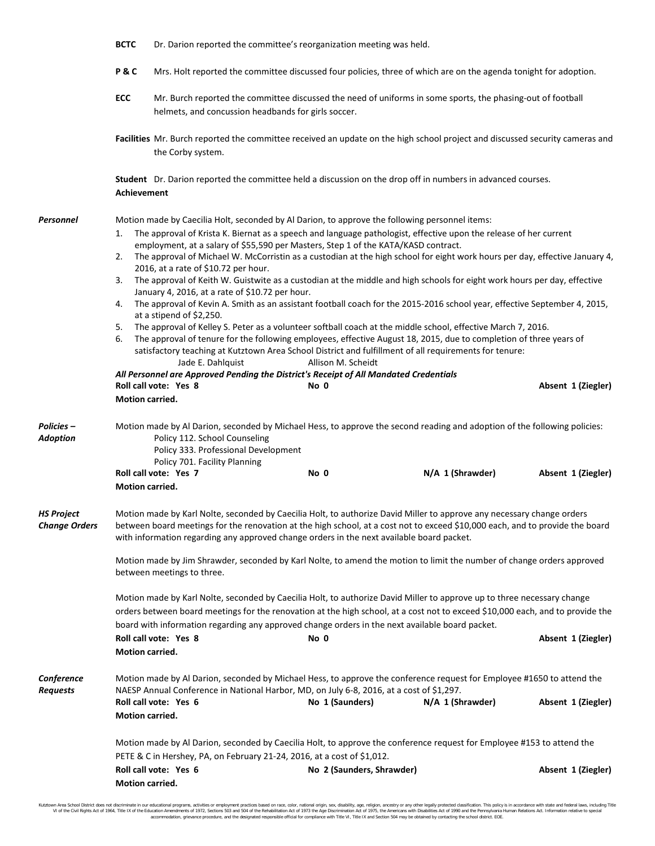|                                           | <b>BCTC</b>                                                                                                                                                                                                                                                                                                                                                                                                                                                                                                                                                                                                                                                                                                                                                                                                          | Dr. Darion reported the committee's reorganization meeting was held.                                                                                               |                                                                                                             |                                                                                                                                            |                    |  |  |  |  |
|-------------------------------------------|----------------------------------------------------------------------------------------------------------------------------------------------------------------------------------------------------------------------------------------------------------------------------------------------------------------------------------------------------------------------------------------------------------------------------------------------------------------------------------------------------------------------------------------------------------------------------------------------------------------------------------------------------------------------------------------------------------------------------------------------------------------------------------------------------------------------|--------------------------------------------------------------------------------------------------------------------------------------------------------------------|-------------------------------------------------------------------------------------------------------------|--------------------------------------------------------------------------------------------------------------------------------------------|--------------------|--|--|--|--|
|                                           | P&C                                                                                                                                                                                                                                                                                                                                                                                                                                                                                                                                                                                                                                                                                                                                                                                                                  | Mrs. Holt reported the committee discussed four policies, three of which are on the agenda tonight for adoption.                                                   |                                                                                                             |                                                                                                                                            |                    |  |  |  |  |
|                                           | ECC                                                                                                                                                                                                                                                                                                                                                                                                                                                                                                                                                                                                                                                                                                                                                                                                                  | Mr. Burch reported the committee discussed the need of uniforms in some sports, the phasing-out of football<br>helmets, and concussion headbands for girls soccer. |                                                                                                             |                                                                                                                                            |                    |  |  |  |  |
|                                           |                                                                                                                                                                                                                                                                                                                                                                                                                                                                                                                                                                                                                                                                                                                                                                                                                      | Facilities Mr. Burch reported the committee received an update on the high school project and discussed security cameras and<br>the Corby system.                  |                                                                                                             |                                                                                                                                            |                    |  |  |  |  |
|                                           | Student Dr. Darion reported the committee held a discussion on the drop off in numbers in advanced courses.<br><b>Achievement</b>                                                                                                                                                                                                                                                                                                                                                                                                                                                                                                                                                                                                                                                                                    |                                                                                                                                                                    |                                                                                                             |                                                                                                                                            |                    |  |  |  |  |
| Personnel                                 | Motion made by Caecilia Holt, seconded by Al Darion, to approve the following personnel items:<br>The approval of Krista K. Biernat as a speech and language pathologist, effective upon the release of her current<br>1.<br>employment, at a salary of \$55,590 per Masters, Step 1 of the KATA/KASD contract.<br>2.<br>The approval of Michael W. McCorristin as a custodian at the high school for eight work hours per day, effective January 4,<br>2016, at a rate of \$10.72 per hour.<br>The approval of Keith W. Guistwite as a custodian at the middle and high schools for eight work hours per day, effective<br>3.<br>January 4, 2016, at a rate of \$10.72 per hour.<br>The approval of Kevin A. Smith as an assistant football coach for the 2015-2016 school year, effective September 4, 2015,<br>4. |                                                                                                                                                                    |                                                                                                             |                                                                                                                                            |                    |  |  |  |  |
|                                           | at a stipend of \$2,250.<br>The approval of Kelley S. Peter as a volunteer softball coach at the middle school, effective March 7, 2016.<br>5.<br>The approval of tenure for the following employees, effective August 18, 2015, due to completion of three years of<br>6.<br>satisfactory teaching at Kutztown Area School District and fulfillment of all requirements for tenure:<br>Jade E. Dahlquist<br>Allison M. Scheidt<br>All Personnel are Approved Pending the District's Receipt of All Mandated Credentials                                                                                                                                                                                                                                                                                             |                                                                                                                                                                    |                                                                                                             |                                                                                                                                            |                    |  |  |  |  |
|                                           | Motion carried.                                                                                                                                                                                                                                                                                                                                                                                                                                                                                                                                                                                                                                                                                                                                                                                                      | Roll call vote: Yes 8                                                                                                                                              | No 0                                                                                                        |                                                                                                                                            | Absent 1 (Ziegler) |  |  |  |  |
| Policies –<br><b>Adoption</b>             | Motion made by Al Darion, seconded by Michael Hess, to approve the second reading and adoption of the following policies:<br>Policy 112. School Counseling<br>Policy 333. Professional Development                                                                                                                                                                                                                                                                                                                                                                                                                                                                                                                                                                                                                   |                                                                                                                                                                    |                                                                                                             |                                                                                                                                            |                    |  |  |  |  |
|                                           | Motion carried.                                                                                                                                                                                                                                                                                                                                                                                                                                                                                                                                                                                                                                                                                                                                                                                                      | Policy 701. Facility Planning<br>Roll call vote: Yes 7                                                                                                             | No 0                                                                                                        | N/A 1 (Shrawder)                                                                                                                           | Absent 1 (Ziegler) |  |  |  |  |
| <b>HS Project</b><br><b>Change Orders</b> | Motion made by Karl Nolte, seconded by Caecilia Holt, to authorize David Miller to approve any necessary change orders<br>between board meetings for the renovation at the high school, at a cost not to exceed \$10,000 each, and to provide the board<br>with information regarding any approved change orders in the next available board packet.                                                                                                                                                                                                                                                                                                                                                                                                                                                                 |                                                                                                                                                                    |                                                                                                             |                                                                                                                                            |                    |  |  |  |  |
|                                           | Motion made by Jim Shrawder, seconded by Karl Nolte, to amend the motion to limit the number of change orders approved<br>between meetings to three.                                                                                                                                                                                                                                                                                                                                                                                                                                                                                                                                                                                                                                                                 |                                                                                                                                                                    |                                                                                                             |                                                                                                                                            |                    |  |  |  |  |
|                                           | Motion made by Karl Nolte, seconded by Caecilia Holt, to authorize David Miller to approve up to three necessary change<br>orders between board meetings for the renovation at the high school, at a cost not to exceed \$10,000 each, and to provide the<br>board with information regarding any approved change orders in the next available board packet.                                                                                                                                                                                                                                                                                                                                                                                                                                                         |                                                                                                                                                                    |                                                                                                             |                                                                                                                                            |                    |  |  |  |  |
|                                           | Motion carried.                                                                                                                                                                                                                                                                                                                                                                                                                                                                                                                                                                                                                                                                                                                                                                                                      | Roll call vote: Yes 8                                                                                                                                              | No 0                                                                                                        |                                                                                                                                            | Absent 1 (Ziegler) |  |  |  |  |
| Conference<br><b>Requests</b>             | Motion carried.                                                                                                                                                                                                                                                                                                                                                                                                                                                                                                                                                                                                                                                                                                                                                                                                      | Roll call vote: Yes 6                                                                                                                                              | NAESP Annual Conference in National Harbor, MD, on July 6-8, 2016, at a cost of \$1,297.<br>No 1 (Saunders) | Motion made by Al Darion, seconded by Michael Hess, to approve the conference request for Employee #1650 to attend the<br>N/A 1 (Shrawder) | Absent 1 (Ziegler) |  |  |  |  |
|                                           | Motion made by Al Darion, seconded by Caecilia Holt, to approve the conference request for Employee #153 to attend the                                                                                                                                                                                                                                                                                                                                                                                                                                                                                                                                                                                                                                                                                               |                                                                                                                                                                    |                                                                                                             |                                                                                                                                            |                    |  |  |  |  |
|                                           | PETE & C in Hershey, PA, on February 21-24, 2016, at a cost of \$1,012.                                                                                                                                                                                                                                                                                                                                                                                                                                                                                                                                                                                                                                                                                                                                              |                                                                                                                                                                    |                                                                                                             |                                                                                                                                            |                    |  |  |  |  |
|                                           | Motion carried.                                                                                                                                                                                                                                                                                                                                                                                                                                                                                                                                                                                                                                                                                                                                                                                                      | Roll call vote: Yes 6                                                                                                                                              | No 2 (Saunders, Shrawder)                                                                                   |                                                                                                                                            | Absent 1 (Ziegler) |  |  |  |  |

Kutztown Area School District does not discriminate in our educational programs, activities or employment practices based on race, color, national origin, sex, disability, age, religion, ancestry or any other legally prot